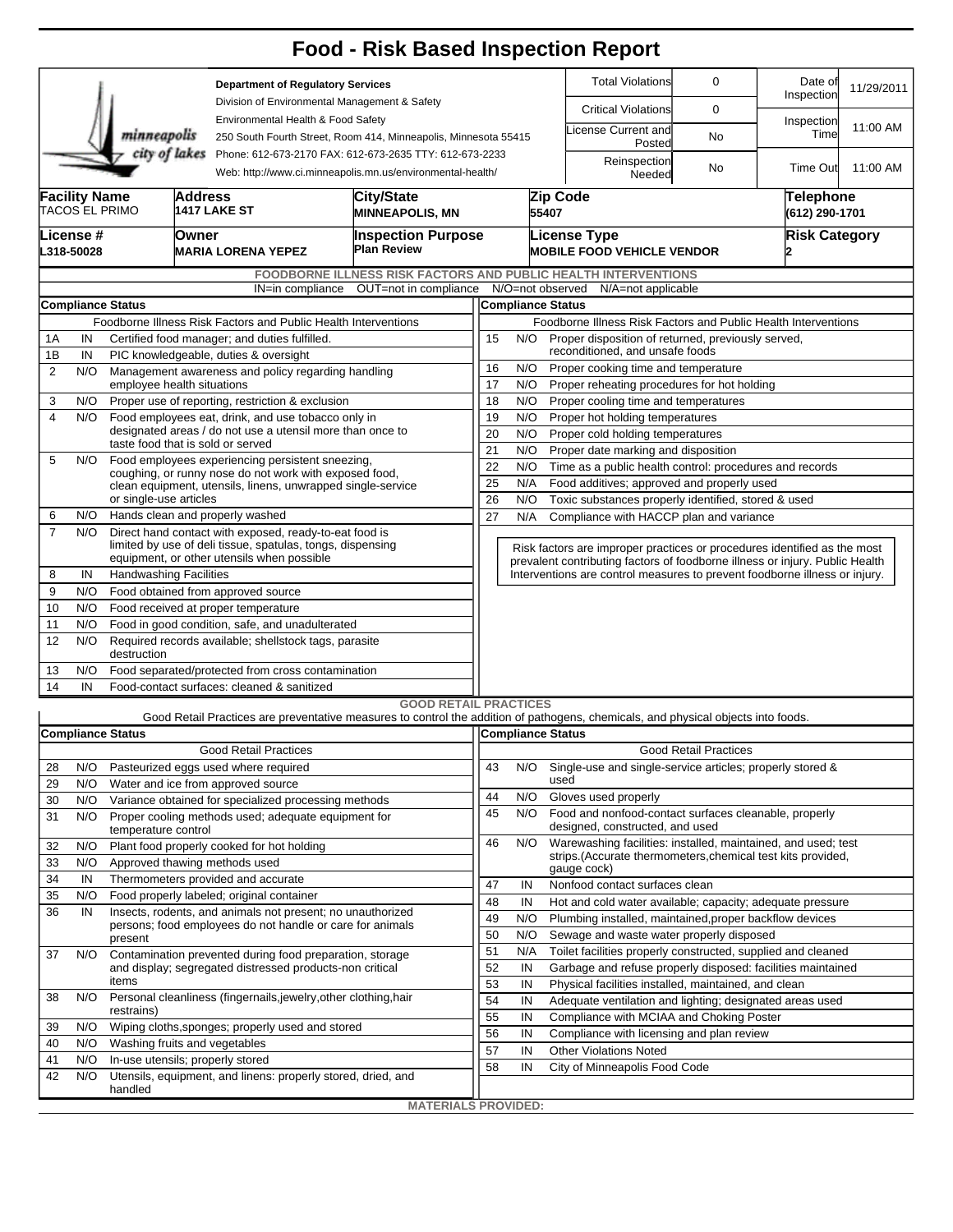|                                                                |                                                                                                                |                                                                                                |                                                             |                                                                                                                       | <b>Food - Risk Based Inspection Report</b>                                                                                        |                                                                                                                          |                                                                                                    |                                                                              |                                                                            |                              |                       |            |  |  |  |  |
|----------------------------------------------------------------|----------------------------------------------------------------------------------------------------------------|------------------------------------------------------------------------------------------------|-------------------------------------------------------------|-----------------------------------------------------------------------------------------------------------------------|-----------------------------------------------------------------------------------------------------------------------------------|--------------------------------------------------------------------------------------------------------------------------|----------------------------------------------------------------------------------------------------|------------------------------------------------------------------------------|----------------------------------------------------------------------------|------------------------------|-----------------------|------------|--|--|--|--|
|                                                                |                                                                                                                |                                                                                                |                                                             | <b>Department of Regulatory Services</b>                                                                              |                                                                                                                                   |                                                                                                                          |                                                                                                    |                                                                              | <b>Total Violations</b>                                                    | 0                            | Date of<br>Inspection | 11/29/2011 |  |  |  |  |
|                                                                |                                                                                                                |                                                                                                |                                                             | Division of Environmental Management & Safety                                                                         |                                                                                                                                   |                                                                                                                          |                                                                                                    |                                                                              | <b>Critical Violations</b>                                                 | 0                            |                       |            |  |  |  |  |
|                                                                |                                                                                                                | minneapolis                                                                                    |                                                             | Environmental Health & Food Safety<br>250 South Fourth Street, Room 414, Minneapolis, Minnesota 55415                 |                                                                                                                                   |                                                                                                                          |                                                                                                    |                                                                              | icense Current and<br>Posted                                               | No                           | Inspection<br>Time    | 11:00 AM   |  |  |  |  |
|                                                                |                                                                                                                | city of lakes                                                                                  |                                                             | Phone: 612-673-2170 FAX: 612-673-2635 TTY: 612-673-2233<br>Web: http://www.ci.minneapolis.mn.us/environmental-health/ |                                                                                                                                   |                                                                                                                          |                                                                                                    |                                                                              | Reinspection<br>Needed                                                     | No                           | Time Out              | 11:00 AM   |  |  |  |  |
|                                                                | <b>Facility Name</b>                                                                                           | TACOS EL PRIMO                                                                                 | Address                                                     | <b>1417 LAKE ST</b>                                                                                                   |                                                                                                                                   |                                                                                                                          | 55407                                                                                              | Zip Code                                                                     | Telephone<br>(612) 290-1701                                                |                              |                       |            |  |  |  |  |
|                                                                | License #                                                                                                      |                                                                                                | Owner                                                       |                                                                                                                       | <b>MINNEAPOLIS, MN</b>                                                                                                            | <b>Inspection Purpose</b>                                                                                                |                                                                                                    |                                                                              | <b>License Type</b>                                                        |                              | <b>Risk Category</b>  |            |  |  |  |  |
|                                                                | L318-50028                                                                                                     |                                                                                                |                                                             | <b>MARIA LORENA YEPEZ</b>                                                                                             | Plan Review                                                                                                                       |                                                                                                                          |                                                                                                    |                                                                              | <b>MOBILE FOOD VEHICLE VENDOR</b>                                          |                              |                       |            |  |  |  |  |
|                                                                |                                                                                                                |                                                                                                |                                                             |                                                                                                                       | <b>FOODBORNE ILLNESS RISK FACTORS AND PUBLIC HEALTH INTERVENTIONS</b>                                                             |                                                                                                                          |                                                                                                    |                                                                              |                                                                            |                              |                       |            |  |  |  |  |
|                                                                |                                                                                                                |                                                                                                |                                                             |                                                                                                                       | IN=in compliance OUT=not in compliance                                                                                            |                                                                                                                          |                                                                                                    |                                                                              | N/O=not observed N/A=not applicable                                        |                              |                       |            |  |  |  |  |
| <b>Compliance Status</b>                                       |                                                                                                                |                                                                                                |                                                             |                                                                                                                       |                                                                                                                                   |                                                                                                                          | <b>Compliance Status</b>                                                                           |                                                                              |                                                                            |                              |                       |            |  |  |  |  |
| Foodborne Illness Risk Factors and Public Health Interventions |                                                                                                                |                                                                                                |                                                             |                                                                                                                       |                                                                                                                                   |                                                                                                                          | Foodborne Illness Risk Factors and Public Health Interventions                                     |                                                                              |                                                                            |                              |                       |            |  |  |  |  |
|                                                                | Certified food manager; and duties fulfilled.<br>1A<br>IN                                                      |                                                                                                |                                                             |                                                                                                                       |                                                                                                                                   |                                                                                                                          | 15<br>Proper disposition of returned, previously served,<br>N/O<br>reconditioned, and unsafe foods |                                                                              |                                                                            |                              |                       |            |  |  |  |  |
| 2                                                              | 1B<br>IN<br>PIC knowledgeable, duties & oversight<br>N/O<br>Management awareness and policy regarding handling |                                                                                                |                                                             |                                                                                                                       |                                                                                                                                   | 16                                                                                                                       | N/O                                                                                                |                                                                              | Proper cooking time and temperature                                        |                              |                       |            |  |  |  |  |
|                                                                |                                                                                                                | employee health situations                                                                     |                                                             |                                                                                                                       |                                                                                                                                   | 17<br>N/O<br>Proper reheating procedures for hot holding                                                                 |                                                                                                    |                                                                              |                                                                            |                              |                       |            |  |  |  |  |
| 3                                                              | N/O                                                                                                            |                                                                                                |                                                             | Proper use of reporting, restriction & exclusion                                                                      |                                                                                                                                   | 18<br>N/O<br>Proper cooling time and temperatures                                                                        |                                                                                                    |                                                                              |                                                                            |                              |                       |            |  |  |  |  |
| 4                                                              | N/O                                                                                                            | Food employees eat, drink, and use tobacco only in                                             |                                                             |                                                                                                                       |                                                                                                                                   |                                                                                                                          | 19<br>N/O<br>Proper hot holding temperatures                                                       |                                                                              |                                                                            |                              |                       |            |  |  |  |  |
|                                                                |                                                                                                                | designated areas / do not use a utensil more than once to<br>taste food that is sold or served |                                                             |                                                                                                                       |                                                                                                                                   |                                                                                                                          |                                                                                                    | 20<br>N/O<br>Proper cold holding temperatures                                |                                                                            |                              |                       |            |  |  |  |  |
| 5                                                              | N/O                                                                                                            |                                                                                                |                                                             | Food employees experiencing persistent sneezing,                                                                      |                                                                                                                                   | 21<br>N/O<br>Proper date marking and disposition                                                                         |                                                                                                    |                                                                              |                                                                            |                              |                       |            |  |  |  |  |
|                                                                |                                                                                                                | coughing, or runny nose do not work with exposed food,                                         |                                                             |                                                                                                                       |                                                                                                                                   |                                                                                                                          | 22<br>N/O<br>Time as a public health control: procedures and records                               |                                                                              |                                                                            |                              |                       |            |  |  |  |  |
|                                                                |                                                                                                                |                                                                                                | clean equipment, utensils, linens, unwrapped single-service |                                                                                                                       | 25<br>N/A<br>Food additives; approved and properly used                                                                           |                                                                                                                          |                                                                                                    |                                                                              |                                                                            |                              |                       |            |  |  |  |  |
| 6                                                              | N/O                                                                                                            | or single-use articles                                                                         |                                                             | Hands clean and properly washed                                                                                       |                                                                                                                                   | 26<br>N/O<br>Toxic substances properly identified, stored & used<br>27<br>N/A<br>Compliance with HACCP plan and variance |                                                                                                    |                                                                              |                                                                            |                              |                       |            |  |  |  |  |
| $\overline{7}$                                                 | N/O                                                                                                            |                                                                                                |                                                             | Direct hand contact with exposed, ready-to-eat food is                                                                |                                                                                                                                   |                                                                                                                          |                                                                                                    |                                                                              |                                                                            |                              |                       |            |  |  |  |  |
|                                                                |                                                                                                                |                                                                                                |                                                             | limited by use of deli tissue, spatulas, tongs, dispensing                                                            |                                                                                                                                   | Risk factors are improper practices or procedures identified as the most                                                 |                                                                                                    |                                                                              |                                                                            |                              |                       |            |  |  |  |  |
|                                                                |                                                                                                                | equipment, or other utensils when possible                                                     |                                                             |                                                                                                                       |                                                                                                                                   |                                                                                                                          |                                                                                                    | prevalent contributing factors of foodborne illness or injury. Public Health |                                                                            |                              |                       |            |  |  |  |  |
| 8                                                              | IN                                                                                                             | <b>Handwashing Facilities</b>                                                                  |                                                             |                                                                                                                       |                                                                                                                                   |                                                                                                                          |                                                                                                    |                                                                              | Interventions are control measures to prevent foodborne illness or injury. |                              |                       |            |  |  |  |  |
| 9                                                              | N/O                                                                                                            |                                                                                                |                                                             | Food obtained from approved source                                                                                    |                                                                                                                                   |                                                                                                                          |                                                                                                    |                                                                              |                                                                            |                              |                       |            |  |  |  |  |
| 10                                                             | N/O                                                                                                            | Food received at proper temperature                                                            |                                                             |                                                                                                                       |                                                                                                                                   |                                                                                                                          |                                                                                                    |                                                                              |                                                                            |                              |                       |            |  |  |  |  |
| 11                                                             | N/O                                                                                                            |                                                                                                |                                                             | Food in good condition, safe, and unadulterated                                                                       |                                                                                                                                   |                                                                                                                          |                                                                                                    |                                                                              |                                                                            |                              |                       |            |  |  |  |  |
| 12                                                             | N/O                                                                                                            | Required records available; shellstock tags, parasite<br>destruction                           |                                                             |                                                                                                                       |                                                                                                                                   |                                                                                                                          |                                                                                                    |                                                                              |                                                                            |                              |                       |            |  |  |  |  |
| 13                                                             | N/O                                                                                                            | Food separated/protected from cross contamination                                              |                                                             |                                                                                                                       |                                                                                                                                   |                                                                                                                          |                                                                                                    |                                                                              |                                                                            |                              |                       |            |  |  |  |  |
| 14                                                             | IN                                                                                                             |                                                                                                |                                                             | Food-contact surfaces: cleaned & sanitized                                                                            |                                                                                                                                   |                                                                                                                          |                                                                                                    |                                                                              |                                                                            |                              |                       |            |  |  |  |  |
|                                                                |                                                                                                                |                                                                                                |                                                             |                                                                                                                       | <b>GOOD RETAIL PRACTICES</b>                                                                                                      |                                                                                                                          |                                                                                                    |                                                                              |                                                                            |                              |                       |            |  |  |  |  |
|                                                                |                                                                                                                |                                                                                                |                                                             |                                                                                                                       | Good Retail Practices are preventative measures to control the addition of pathogens, chemicals, and physical objects into foods. |                                                                                                                          |                                                                                                    |                                                                              |                                                                            |                              |                       |            |  |  |  |  |
|                                                                |                                                                                                                | <b>Compliance Status</b>                                                                       |                                                             |                                                                                                                       |                                                                                                                                   |                                                                                                                          |                                                                                                    |                                                                              | Compliance Status                                                          |                              |                       |            |  |  |  |  |
|                                                                |                                                                                                                |                                                                                                |                                                             | <b>Good Retail Practices</b>                                                                                          |                                                                                                                                   |                                                                                                                          |                                                                                                    |                                                                              |                                                                            | <b>Good Retail Practices</b> |                       |            |  |  |  |  |
| 28                                                             | N/O                                                                                                            |                                                                                                |                                                             | Pasteurized eggs used where required                                                                                  |                                                                                                                                   | 43                                                                                                                       | N/O                                                                                                |                                                                              | Single-use and single-service articles; properly stored &                  |                              |                       |            |  |  |  |  |
| 29                                                             | N/O                                                                                                            |                                                                                                |                                                             | Water and ice from approved source                                                                                    |                                                                                                                                   | 44                                                                                                                       | N/O                                                                                                |                                                                              | used<br>Gloves used properly                                               |                              |                       |            |  |  |  |  |
| 30                                                             | N/O                                                                                                            |                                                                                                |                                                             | Variance obtained for specialized processing methods<br>Proper cooling methods used; adequate equipment for           |                                                                                                                                   |                                                                                                                          | N/O                                                                                                |                                                                              | Food and nonfood-contact surfaces cleanable, properly                      |                              |                       |            |  |  |  |  |
| 31                                                             | N/O                                                                                                            | temperature control                                                                            |                                                             |                                                                                                                       |                                                                                                                                   | 45                                                                                                                       |                                                                                                    |                                                                              | designed, constructed, and used                                            |                              |                       |            |  |  |  |  |
| 32                                                             | N/O                                                                                                            |                                                                                                |                                                             | Plant food properly cooked for hot holding                                                                            |                                                                                                                                   | 46                                                                                                                       | N/O                                                                                                |                                                                              | Warewashing facilities: installed, maintained, and used; test              |                              |                       |            |  |  |  |  |
| 33                                                             | N/O                                                                                                            |                                                                                                |                                                             | Approved thawing methods used                                                                                         |                                                                                                                                   |                                                                                                                          |                                                                                                    |                                                                              | strips. (Accurate thermometers, chemical test kits provided,               |                              |                       |            |  |  |  |  |
| 34                                                             | IN                                                                                                             |                                                                                                |                                                             | Thermometers provided and accurate                                                                                    |                                                                                                                                   | 47                                                                                                                       | IN                                                                                                 |                                                                              | gauge cock)<br>Nonfood contact surfaces clean                              |                              |                       |            |  |  |  |  |
| 35                                                             | N/O                                                                                                            | Food properly labeled; original container                                                      |                                                             |                                                                                                                       |                                                                                                                                   |                                                                                                                          |                                                                                                    |                                                                              | Hot and cold water available; capacity; adequate pressure                  |                              |                       |            |  |  |  |  |
| 36                                                             | IN                                                                                                             |                                                                                                |                                                             | Insects, rodents, and animals not present; no unauthorized                                                            |                                                                                                                                   | 48<br>49                                                                                                                 | IN<br>N/O                                                                                          |                                                                              | Plumbing installed, maintained, proper backflow devices                    |                              |                       |            |  |  |  |  |
|                                                                |                                                                                                                |                                                                                                |                                                             | persons; food employees do not handle or care for animals                                                             |                                                                                                                                   | 50                                                                                                                       | N/O                                                                                                |                                                                              | Sewage and waste water properly disposed                                   |                              |                       |            |  |  |  |  |
| 37                                                             | N/O                                                                                                            | present                                                                                        |                                                             |                                                                                                                       |                                                                                                                                   | 51                                                                                                                       | N/A                                                                                                |                                                                              | Toilet facilities properly constructed, supplied and cleaned               |                              |                       |            |  |  |  |  |
|                                                                |                                                                                                                |                                                                                                |                                                             |                                                                                                                       | Contamination prevented during food preparation, storage<br>and display; segregated distressed products-non critical              |                                                                                                                          | IN                                                                                                 |                                                                              | Garbage and refuse properly disposed: facilities maintained                |                              |                       |            |  |  |  |  |
|                                                                |                                                                                                                | items                                                                                          |                                                             |                                                                                                                       |                                                                                                                                   | 53                                                                                                                       | IN                                                                                                 |                                                                              | Physical facilities installed, maintained, and clean                       |                              |                       |            |  |  |  |  |
| 38                                                             | N/O                                                                                                            | Personal cleanliness (fingernails, jewelry, other clothing, hair                               |                                                             |                                                                                                                       |                                                                                                                                   |                                                                                                                          |                                                                                                    | IN                                                                           | Adequate ventilation and lighting; designated areas used                   |                              |                       |            |  |  |  |  |
| 39                                                             | N/O                                                                                                            | restrains)                                                                                     |                                                             |                                                                                                                       |                                                                                                                                   |                                                                                                                          | IN                                                                                                 |                                                                              | Compliance with MCIAA and Choking Poster                                   |                              |                       |            |  |  |  |  |
| 40                                                             | N/O                                                                                                            |                                                                                                | Wiping cloths, sponges; properly used and stored            |                                                                                                                       |                                                                                                                                   |                                                                                                                          |                                                                                                    | IN                                                                           | Compliance with licensing and plan review                                  |                              |                       |            |  |  |  |  |
| 41                                                             | N/O                                                                                                            | Washing fruits and vegetables<br>In-use utensils; properly stored                              |                                                             |                                                                                                                       |                                                                                                                                   |                                                                                                                          |                                                                                                    | IN                                                                           | <b>Other Violations Noted</b>                                              |                              |                       |            |  |  |  |  |
| 42                                                             | N/O                                                                                                            |                                                                                                |                                                             | Utensils, equipment, and linens: properly stored, dried, and                                                          |                                                                                                                                   | 58                                                                                                                       | IN                                                                                                 |                                                                              | City of Minneapolis Food Code                                              |                              |                       |            |  |  |  |  |
|                                                                |                                                                                                                | handled                                                                                        |                                                             |                                                                                                                       |                                                                                                                                   |                                                                                                                          |                                                                                                    |                                                                              |                                                                            |                              |                       |            |  |  |  |  |
|                                                                |                                                                                                                |                                                                                                |                                                             |                                                                                                                       | <b>MATERIALS PROVIDED:</b>                                                                                                        |                                                                                                                          |                                                                                                    |                                                                              |                                                                            |                              |                       |            |  |  |  |  |